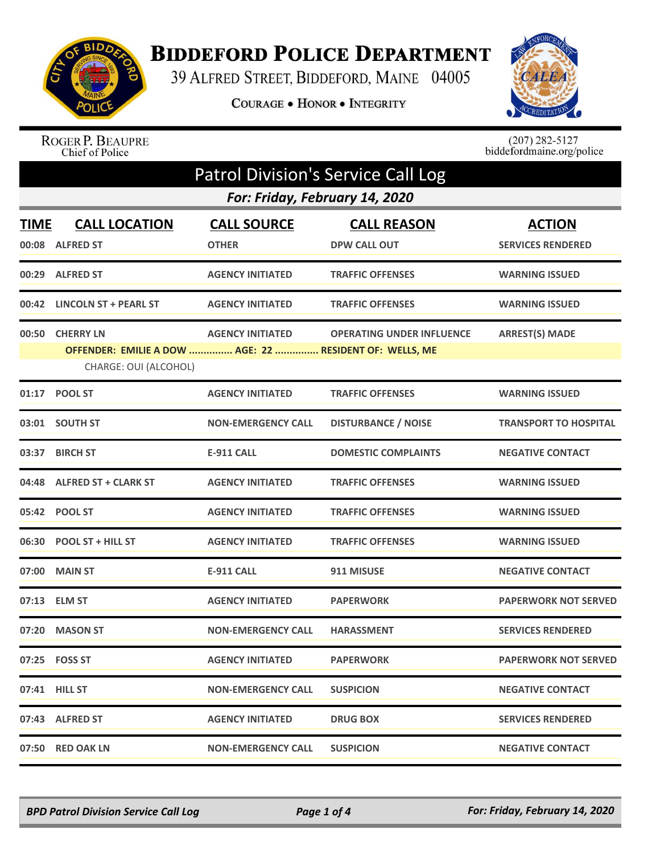

## **BIDDEFORD POLICE DEPARTMENT**

39 ALFRED STREET, BIDDEFORD, MAINE 04005

COURAGE . HONOR . INTEGRITY



ROGER P. BEAUPRE<br>Chief of Police

 $(207)$  282-5127<br>biddefordmaine.org/police

| <b>Patrol Division's Service Call Log</b> |                                                                                  |                                |                                  |                              |
|-------------------------------------------|----------------------------------------------------------------------------------|--------------------------------|----------------------------------|------------------------------|
|                                           |                                                                                  | For: Friday, February 14, 2020 |                                  |                              |
| TIME                                      | <b>CALL LOCATION</b>                                                             | <b>CALL SOURCE</b>             | <b>CALL REASON</b>               | <b>ACTION</b>                |
|                                           | 00:08 ALFRED ST                                                                  | <b>OTHER</b>                   | <b>DPW CALL OUT</b>              | <b>SERVICES RENDERED</b>     |
|                                           | 00:29 ALFRED ST                                                                  | <b>AGENCY INITIATED</b>        | <b>TRAFFIC OFFENSES</b>          | <b>WARNING ISSUED</b>        |
|                                           | 00:42 LINCOLN ST + PEARL ST                                                      | <b>AGENCY INITIATED</b>        | <b>TRAFFIC OFFENSES</b>          | <b>WARNING ISSUED</b>        |
|                                           | 00:50 CHERRY LN                                                                  | <b>AGENCY INITIATED</b>        | <b>OPERATING UNDER INFLUENCE</b> | <b>ARREST(S) MADE</b>        |
|                                           | OFFENDER: EMILIE A DOW  AGE: 22  RESIDENT OF: WELLS, ME<br>CHARGE: OUI (ALCOHOL) |                                |                                  |                              |
|                                           | 01:17 POOL ST                                                                    | <b>AGENCY INITIATED</b>        | <b>TRAFFIC OFFENSES</b>          | <b>WARNING ISSUED</b>        |
|                                           | 03:01 SOUTH ST                                                                   | <b>NON-EMERGENCY CALL</b>      | <b>DISTURBANCE / NOISE</b>       | <b>TRANSPORT TO HOSPITAL</b> |
|                                           | 03:37 BIRCH ST                                                                   | <b>E-911 CALL</b>              | <b>DOMESTIC COMPLAINTS</b>       | <b>NEGATIVE CONTACT</b>      |
|                                           | 04:48 ALFRED ST + CLARK ST                                                       | <b>AGENCY INITIATED</b>        | <b>TRAFFIC OFFENSES</b>          | <b>WARNING ISSUED</b>        |
|                                           |                                                                                  | <b>AGENCY INITIATED</b>        | <b>TRAFFIC OFFENSES</b>          | <b>WARNING ISSUED</b>        |
|                                           | 06:30 POOL ST + HILL ST                                                          | <b>AGENCY INITIATED</b>        | <b>TRAFFIC OFFENSES</b>          | <b>WARNING ISSUED</b>        |
| 07:00                                     | <b>MAIN ST</b>                                                                   | <b>E-911 CALL</b>              | 911 MISUSE                       | <b>NEGATIVE CONTACT</b>      |
|                                           |                                                                                  | <b>AGENCY INITIATED</b>        | <b>PAPERWORK</b>                 | <b>PAPERWORK NOT SERVED</b>  |
|                                           | 07:20 MASON ST                                                                   | <b>NON-EMERGENCY CALL</b>      | <b>HARASSMENT</b>                | <b>SERVICES RENDERED</b>     |
|                                           |                                                                                  | <b>AGENCY INITIATED</b>        | <b>PAPERWORK</b>                 | <b>PAPERWORK NOT SERVED</b>  |
|                                           | 07:41 HILL ST                                                                    | <b>NON-EMERGENCY CALL</b>      | <b>SUSPICION</b>                 | <b>NEGATIVE CONTACT</b>      |
|                                           | 07:43 ALFRED ST                                                                  | <b>AGENCY INITIATED</b>        | <b>DRUG BOX</b>                  | <b>SERVICES RENDERED</b>     |
|                                           | 07:50 RED OAK LN                                                                 | <b>NON-EMERGENCY CALL</b>      | <b>SUSPICION</b>                 | <b>NEGATIVE CONTACT</b>      |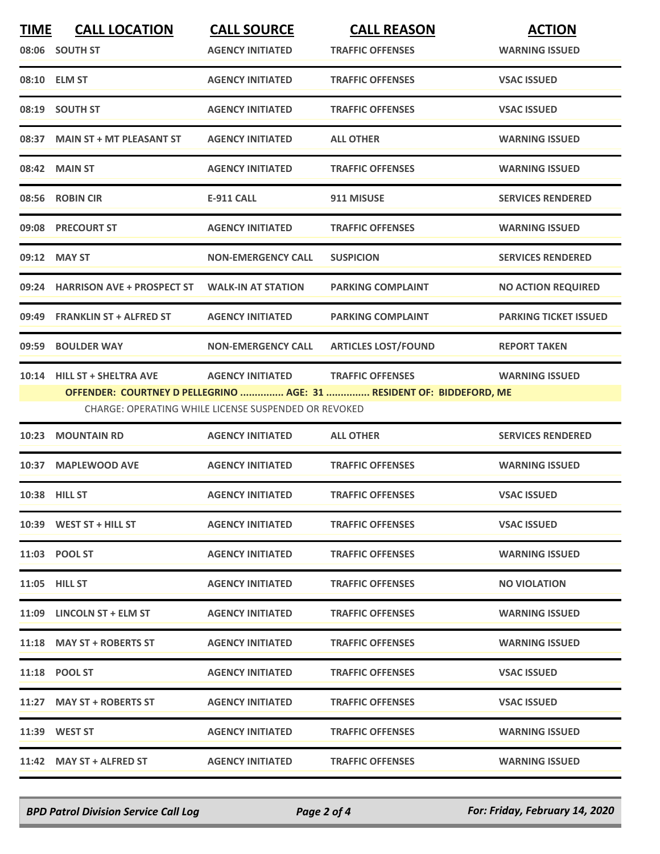| <b>TIME</b> | <b>CALL LOCATION</b><br>08:06 SOUTH ST | <b>CALL SOURCE</b><br><b>AGENCY INITIATED</b>                                   | <b>CALL REASON</b><br><b>TRAFFIC OFFENSES</b>                                                   | <b>ACTION</b><br><b>WARNING ISSUED</b> |
|-------------|----------------------------------------|---------------------------------------------------------------------------------|-------------------------------------------------------------------------------------------------|----------------------------------------|
|             | 08:10 ELM ST                           | <b>AGENCY INITIATED</b>                                                         | <b>TRAFFIC OFFENSES</b>                                                                         | <b>VSAC ISSUED</b>                     |
|             | 08:19 SOUTH ST                         | <b>AGENCY INITIATED</b>                                                         | <b>TRAFFIC OFFENSES</b>                                                                         | <b>VSAC ISSUED</b>                     |
|             | 08:37 MAIN ST + MT PLEASANT ST         | <b>AGENCY INITIATED</b>                                                         | <b>ALL OTHER</b>                                                                                | <b>WARNING ISSUED</b>                  |
|             | 08:42 MAIN ST                          | <b>AGENCY INITIATED</b>                                                         | <b>TRAFFIC OFFENSES</b>                                                                         | <b>WARNING ISSUED</b>                  |
|             | 08:56 ROBIN CIR                        | <b>E-911 CALL</b>                                                               | 911 MISUSE                                                                                      | <b>SERVICES RENDERED</b>               |
|             | 09:08 PRECOURT ST                      | <b>AGENCY INITIATED</b>                                                         | <b>TRAFFIC OFFENSES</b>                                                                         | <b>WARNING ISSUED</b>                  |
|             | 09:12 MAY ST                           | <b>NON-EMERGENCY CALL</b>                                                       | <b>SUSPICION</b>                                                                                | <b>SERVICES RENDERED</b>               |
|             | 09:24 HARRISON AVE + PROSPECT ST       | <b>WALK-IN AT STATION</b>                                                       | <b>PARKING COMPLAINT</b>                                                                        | <b>NO ACTION REQUIRED</b>              |
| 09:49       | <b>FRANKLIN ST + ALFRED ST</b>         | <b>AGENCY INITIATED</b>                                                         | <b>PARKING COMPLAINT</b>                                                                        | <b>PARKING TICKET ISSUED</b>           |
|             | 09:59 BOULDER WAY                      | <b>NON-EMERGENCY CALL</b>                                                       | <b>ARTICLES LOST/FOUND</b>                                                                      | <b>REPORT TAKEN</b>                    |
|             | 10:14 HILL ST + SHELTRA AVE            | <b>AGENCY INITIATED</b><br>CHARGE: OPERATING WHILE LICENSE SUSPENDED OR REVOKED | <b>TRAFFIC OFFENSES</b><br>OFFENDER: COURTNEY D PELLEGRINO  AGE: 31  RESIDENT OF: BIDDEFORD, ME | <b>WARNING ISSUED</b>                  |
| 10:23       | <b>MOUNTAIN RD</b>                     | <b>AGENCY INITIATED</b>                                                         | <b>ALL OTHER</b>                                                                                | <b>SERVICES RENDERED</b>               |
|             | 10:37 MAPLEWOOD AVE                    | <b>AGENCY INITIATED</b>                                                         | <b>TRAFFIC OFFENSES</b>                                                                         | <b>WARNING ISSUED</b>                  |
|             | <b>10:38 HILL ST</b>                   | <b>AGENCY INITIATED</b>                                                         | <b>TRAFFIC OFFENSES</b>                                                                         | <b>VSAC ISSUED</b>                     |
|             | $10:39$ WEST ST + HILL ST              | <b>AGENCY INITIATED</b>                                                         | <b>TRAFFIC OFFENSES</b>                                                                         | <b>VSAC ISSUED</b>                     |
|             | 11:03 POOL ST                          | <b>AGENCY INITIATED</b>                                                         | <b>TRAFFIC OFFENSES</b>                                                                         | <b>WARNING ISSUED</b>                  |
|             | <b>11:05 HILL ST</b>                   | <b>AGENCY INITIATED</b>                                                         | <b>TRAFFIC OFFENSES</b>                                                                         | <b>NO VIOLATION</b>                    |
|             | 11:09 LINCOLN ST + ELM ST              | <b>AGENCY INITIATED</b>                                                         | <b>TRAFFIC OFFENSES</b>                                                                         | <b>WARNING ISSUED</b>                  |
|             | 11:18 MAY ST + ROBERTS ST              | <b>AGENCY INITIATED</b>                                                         | <b>TRAFFIC OFFENSES</b>                                                                         | <b>WARNING ISSUED</b>                  |
|             | 11:18 POOL ST                          | <b>AGENCY INITIATED</b>                                                         | <b>TRAFFIC OFFENSES</b>                                                                         | <b>VSAC ISSUED</b>                     |
|             | 11:27 MAY ST + ROBERTS ST              | <b>AGENCY INITIATED</b>                                                         | <b>TRAFFIC OFFENSES</b>                                                                         | <b>VSAC ISSUED</b>                     |
|             | 11:39 WEST ST                          | <b>AGENCY INITIATED</b>                                                         | <b>TRAFFIC OFFENSES</b>                                                                         | <b>WARNING ISSUED</b>                  |
|             | 11:42 MAY ST + ALFRED ST               | <b>AGENCY INITIATED</b>                                                         | <b>TRAFFIC OFFENSES</b>                                                                         | <b>WARNING ISSUED</b>                  |

*BPD Patrol Division Service Call Log Page 2 of 4 For: Friday, February 14, 2020*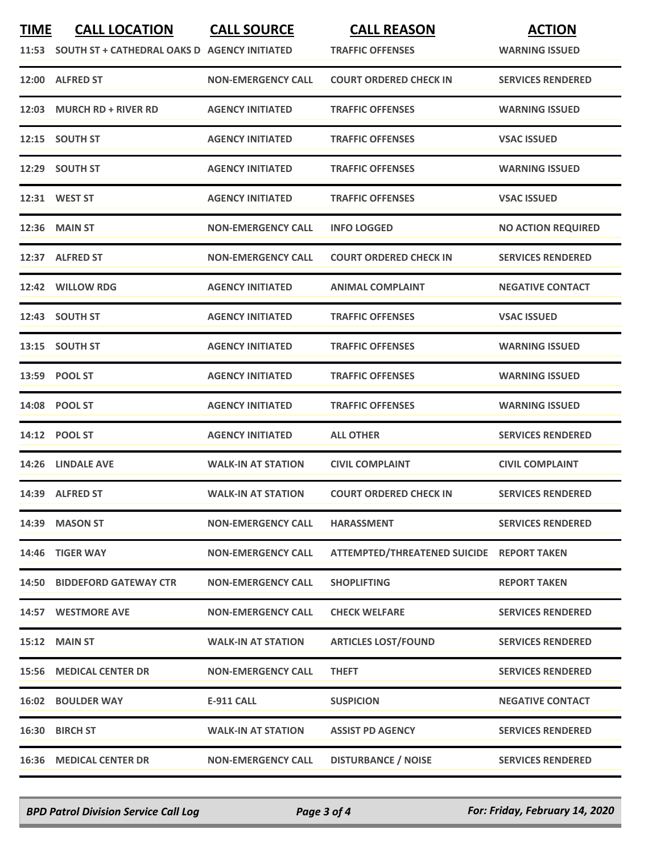| <b>TIME</b> | <b>CALL LOCATION</b><br>11:53 SOUTH ST + CATHEDRAL OAKS D AGENCY INITIATED | <b>CALL SOURCE</b>        | <b>CALL REASON</b><br><b>TRAFFIC OFFENSES</b> | <b>ACTION</b><br><b>WARNING ISSUED</b> |
|-------------|----------------------------------------------------------------------------|---------------------------|-----------------------------------------------|----------------------------------------|
|             | 12:00 ALFRED ST                                                            | <b>NON-EMERGENCY CALL</b> | <b>COURT ORDERED CHECK IN</b>                 | <b>SERVICES RENDERED</b>               |
| 12:03       | <b>MURCH RD + RIVER RD</b>                                                 | <b>AGENCY INITIATED</b>   | <b>TRAFFIC OFFENSES</b>                       | <b>WARNING ISSUED</b>                  |
|             | 12:15 SOUTH ST                                                             | <b>AGENCY INITIATED</b>   | <b>TRAFFIC OFFENSES</b>                       | <b>VSAC ISSUED</b>                     |
|             | 12:29 SOUTH ST                                                             | <b>AGENCY INITIATED</b>   | <b>TRAFFIC OFFENSES</b>                       | <b>WARNING ISSUED</b>                  |
|             | 12:31 WEST ST                                                              | <b>AGENCY INITIATED</b>   | <b>TRAFFIC OFFENSES</b>                       | <b>VSAC ISSUED</b>                     |
|             | <b>12:36 MAIN ST</b>                                                       | <b>NON-EMERGENCY CALL</b> | <b>INFO LOGGED</b>                            | <b>NO ACTION REQUIRED</b>              |
|             | 12:37 ALFRED ST                                                            | <b>NON-EMERGENCY CALL</b> | <b>COURT ORDERED CHECK IN</b>                 | <b>SERVICES RENDERED</b>               |
|             | 12:42 WILLOW RDG                                                           | <b>AGENCY INITIATED</b>   | <b>ANIMAL COMPLAINT</b>                       | <b>NEGATIVE CONTACT</b>                |
|             | 12:43 SOUTH ST                                                             | <b>AGENCY INITIATED</b>   | <b>TRAFFIC OFFENSES</b>                       | <b>VSAC ISSUED</b>                     |
|             | 13:15 SOUTH ST                                                             | <b>AGENCY INITIATED</b>   | <b>TRAFFIC OFFENSES</b>                       | <b>WARNING ISSUED</b>                  |
|             | 13:59 POOL ST                                                              | <b>AGENCY INITIATED</b>   | <b>TRAFFIC OFFENSES</b>                       | <b>WARNING ISSUED</b>                  |
|             | 14:08 POOL ST                                                              | <b>AGENCY INITIATED</b>   | <b>TRAFFIC OFFENSES</b>                       | <b>WARNING ISSUED</b>                  |
|             | 14:12 POOL ST                                                              | <b>AGENCY INITIATED</b>   | <b>ALL OTHER</b>                              | <b>SERVICES RENDERED</b>               |
|             | 14:26 LINDALE AVE                                                          | <b>WALK-IN AT STATION</b> | <b>CIVIL COMPLAINT</b>                        | <b>CIVIL COMPLAINT</b>                 |
|             | 14:39 ALFRED ST                                                            | <b>WALK-IN AT STATION</b> | <b>COURT ORDERED CHECK IN</b>                 | <b>SERVICES RENDERED</b>               |
|             | 14:39 MASON ST                                                             | <b>NON-EMERGENCY CALL</b> | <b>HARASSMENT</b>                             | <b>SERVICES RENDERED</b>               |
|             | 14:46 TIGER WAY                                                            | <b>NON-EMERGENCY CALL</b> | ATTEMPTED/THREATENED SUICIDE REPORT TAKEN     |                                        |
|             | <b>14:50 BIDDEFORD GATEWAY CTR</b>                                         | <b>NON-EMERGENCY CALL</b> | <b>SHOPLIFTING</b>                            | <b>REPORT TAKEN</b>                    |
|             | 14:57 WESTMORE AVE                                                         | <b>NON-EMERGENCY CALL</b> | <b>CHECK WELFARE</b>                          | <b>SERVICES RENDERED</b>               |
|             | <b>15:12 MAIN ST</b>                                                       | <b>WALK-IN AT STATION</b> | <b>ARTICLES LOST/FOUND</b>                    | <b>SERVICES RENDERED</b>               |
| 15:56       | <b>MEDICAL CENTER DR</b>                                                   | <b>NON-EMERGENCY CALL</b> | <b>THEFT</b>                                  | <b>SERVICES RENDERED</b>               |
|             | <b>16:02 BOULDER WAY</b>                                                   | <b>E-911 CALL</b>         | <b>SUSPICION</b>                              | <b>NEGATIVE CONTACT</b>                |
|             | 16:30 BIRCH ST                                                             | <b>WALK-IN AT STATION</b> | <b>ASSIST PD AGENCY</b>                       | <b>SERVICES RENDERED</b>               |
|             | <b>16:36 MEDICAL CENTER DR</b>                                             | <b>NON-EMERGENCY CALL</b> | <b>DISTURBANCE / NOISE</b>                    | <b>SERVICES RENDERED</b>               |

*BPD Patrol Division Service Call Log Page 3 of 4 For: Friday, February 14, 2020*